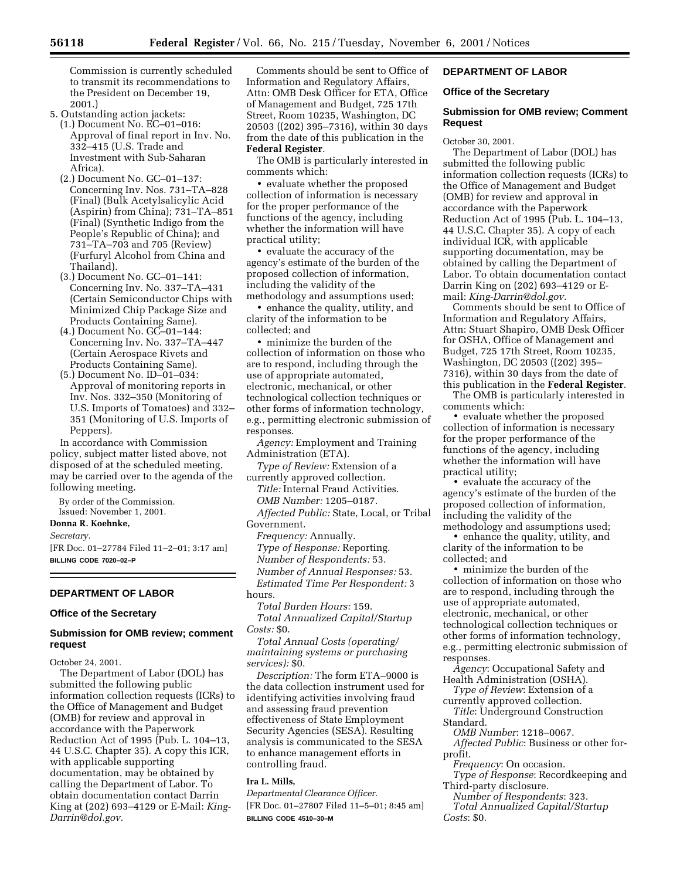Commission is currently scheduled to transmit its recommendations to the President on December 19, 2001.)

- 5. Outstanding action jackets: (1.) Document No. EC–01–016: Approval of final report in Inv. No. 332–415 (U.S. Trade and Investment with Sub-Saharan Africa).
	- (2.) Document No. GC–01–137: Concerning Inv. Nos. 731–TA–828 (Final) (Bulk Acetylsalicylic Acid (Aspirin) from China); 731–TA–851 (Final) (Synthetic Indigo from the People's Republic of China); and 731–TA–703 and 705 (Review) (Furfuryl Alcohol from China and Thailand).
	- (3.) Document No. GC–01–141: Concerning Inv. No. 337–TA–431 (Certain Semiconductor Chips with Minimized Chip Package Size and Products Containing Same).
	- (4.) Document No. GC–01–144: Concerning Inv. No. 337–TA–447 (Certain Aerospace Rivets and Products Containing Same).
	- (5.) Document No. ID–01–034: Approval of monitoring reports in Inv. Nos. 332–350 (Monitoring of U.S. Imports of Tomatoes) and 332– 351 (Monitoring of U.S. Imports of Peppers).

In accordance with Commission policy, subject matter listed above, not disposed of at the scheduled meeting, may be carried over to the agenda of the following meeting.

By order of the Commission. Issued: November 1, 2001.

**Donna R. Koehnke,**

*Secretary.*

[FR Doc. 01–27784 Filed 11–2–01; 3:17 am] **BILLING CODE 7020–02–P**

## **DEPARTMENT OF LABOR**

## **Office of the Secretary**

## **Submission for OMB review; comment request**

October 24, 2001.

The Department of Labor (DOL) has submitted the following public information collection requests (ICRs) to the Office of Management and Budget (OMB) for review and approval in accordance with the Paperwork Reduction Act of 1995 (Pub. L. 104–13, 44 U.S.C. Chapter 35). A copy this ICR, with applicable supporting documentation, may be obtained by calling the Department of Labor. To obtain documentation contact Darrin King at (202) 693–4129 or E-Mail: *King-Darrin@dol.gov.*

Comments should be sent to Office of Information and Regulatory Affairs, Attn: OMB Desk Officer for ETA, Office of Management and Budget, 725 17th Street, Room 10235, Washington, DC 20503 ((202) 395–7316), within 30 days from the date of this publication in the **Federal Register**.

The OMB is particularly interested in comments which:

• evaluate whether the proposed collection of information is necessary for the proper performance of the functions of the agency, including whether the information will have practical utility;

• evaluate the accuracy of the agency's estimate of the burden of the proposed collection of information, including the validity of the methodology and assumptions used;

• enhance the quality, utility, and clarity of the information to be collected; and

• minimize the burden of the collection of information on those who are to respond, including through the use of appropriate automated, electronic, mechanical, or other technological collection techniques or other forms of information technology, e.g., permitting electronic submission of responses.

*Agency:* Employment and Training Administration (ETA).

*Type of Review:* Extension of a currently approved collection.

*Title:* Internal Fraud Activities. *OMB Number:* 1205–0187.

*Affected Public:* State, Local, or Tribal Government.

*Frequency:* Annually. *Type of Response:* Reporting. *Number of Respondents:* 53. *Number of Annual Responses:* 53. *Estimated Time Per Respondent:* 3

hours.

*Total Burden Hours:* 159. *Total Annualized Capital/Startup Costs:* \$0.

*Total Annual Costs (operating/ maintaining systems or purchasing services):* \$0.

*Description:* The form ETA–9000 is the data collection instrument used for identifying activities involving fraud and assessing fraud prevention effectiveness of State Employment Security Agencies (SESA). Resulting analysis is communicated to the SESA to enhance management efforts in controlling fraud.

# **Ira L. Mills,**

*Departmental Clearance Officer.* [FR Doc. 01–27807 Filed 11–5–01; 8:45 am] **BILLING CODE 4510–30–M**

# **DEPARTMENT OF LABOR**

## **Office of the Secretary**

## **Submission for OMB review; Comment Request**

October 30, 2001.

The Department of Labor (DOL) has submitted the following public information collection requests (ICRs) to the Office of Management and Budget (OMB) for review and approval in accordance with the Paperwork Reduction Act of 1995 (Pub. L. 104–13, 44 U.S.C. Chapter 35). A copy of each individual ICR, with applicable supporting documentation, may be obtained by calling the Department of Labor. To obtain documentation contact Darrin King on (202) 693–4129 or Email: *King-Darrin@dol.gov.*

Comments should be sent to Office of Information and Regulatory Affairs, Attn: Stuart Shapiro, OMB Desk Officer for OSHA, Office of Management and Budget, 725 17th Street, Room 10235, Washington, DC 20503 ((202) 395– 7316), within 30 days from the date of this publication in the **Federal Register**.

The OMB is particularly interested in comments which:

• evaluate whether the proposed collection of information is necessary for the proper performance of the functions of the agency, including whether the information will have practical utility;

• evaluate the accuracy of the agency's estimate of the burden of the proposed collection of information, including the validity of the methodology and assumptions used;

• enhance the quality, utility, and clarity of the information to be collected; and

• minimize the burden of the collection of information on those who are to respond, including through the use of appropriate automated, electronic, mechanical, or other technological collection techniques or other forms of information technology, e.g., permitting electronic submission of responses.

*Agency*: Occupational Safety and Health Administration (OSHA).

*Type of Review*: Extension of a currently approved collection.

*Title*: Underground Construction Standard.

*OMB Number*: 1218–0067.

*Affected Public*: Business or other forprofit.

*Frequency*: On occasion.

*Type of Response*: Recordkeeping and Third-party disclosure.

*Number of Respondents*: 323. *Total Annualized Capital/Startup*

*Costs*: \$0.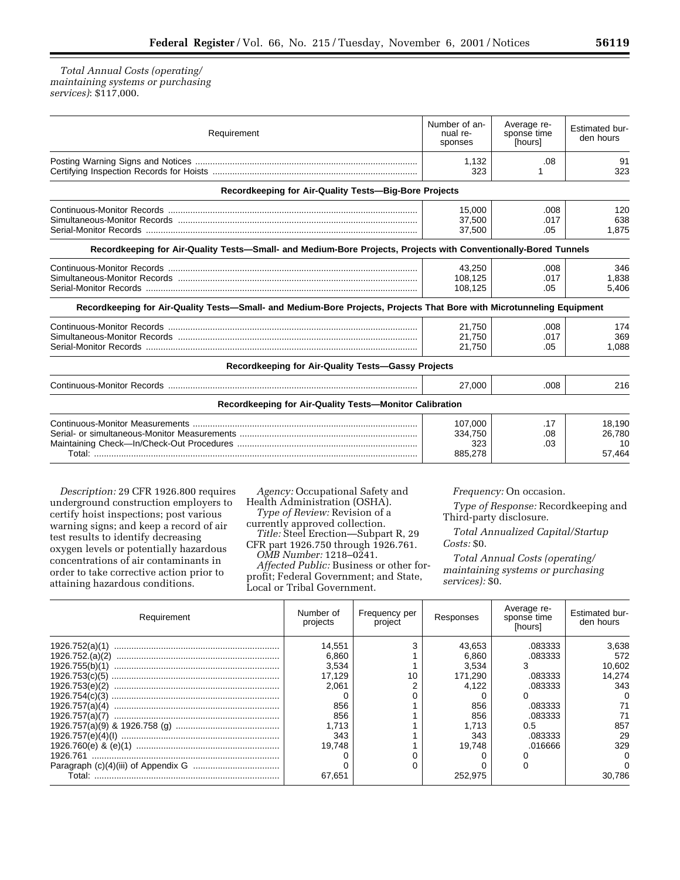*Total Annual Costs (operating/ maintaining systems or purchasing services)*: \$117,000.

| Requirement                                                                                                           | Number of an-<br>nual re-<br>sponses | Average re-<br>sponse time<br>[hours] | Estimated bur-<br>den hours      |
|-----------------------------------------------------------------------------------------------------------------------|--------------------------------------|---------------------------------------|----------------------------------|
|                                                                                                                       | 1,132<br>323                         | .08                                   | 91<br>323                        |
| Recordkeeping for Air-Quality Tests-Big-Bore Projects                                                                 |                                      |                                       |                                  |
|                                                                                                                       | 15.000<br>37,500<br>37,500           | .008<br>.017<br>.05                   | 120<br>638<br>1.875              |
| Recordkeeping for Air-Quality Tests-Small- and Medium-Bore Projects, Projects with Conventionally-Bored Tunnels       |                                      |                                       |                                  |
| Recordkeeping for Air-Quality Tests-Small- and Medium-Bore Projects, Projects That Bore with Microtunneling Equipment | 43,250<br>108.125<br>108,125         | .008<br>.017<br>.05                   | 346<br>1.838<br>5,406            |
|                                                                                                                       | 21,750<br>21,750<br>21,750           | .008<br>.017<br>.05                   | 174<br>369<br>1,088              |
| Recordkeeping for Air-Quality Tests-Gassy Projects                                                                    |                                      |                                       |                                  |
|                                                                                                                       | 27.000                               | .008                                  | 216                              |
| Recordkeeping for Air-Quality Tests-Monitor Calibration                                                               |                                      |                                       |                                  |
|                                                                                                                       | 107.000<br>334,750<br>323<br>885,278 | .17<br>.08<br>.03                     | 18.190<br>26.780<br>10<br>57,464 |

*Description:* 29 CFR 1926.800 requires underground construction employers to certify hoist inspections; post various warning signs; and keep a record of air test results to identify decreasing oxygen levels or potentially hazardous concentrations of air contaminants in order to take corrective action prior to attaining hazardous conditions.

*Agency:* Occupational Safety and Health Administration (OSHA). *Type of Review:* Revision of a currently approved collection. *Title:* Steel Erection—Subpart R, 29 CFR part 1926.750 through 1926.761. *OMB Number:* 1218–0241. *Affected Public:* Business or other forprofit; Federal Government; and State, Local or Tribal Government.

*Frequency:* On occasion.

*Type of Response:* Recordkeeping and Third-party disclosure.

*Total Annualized Capital/Startup Costs:* \$0.

*Total Annual Costs (operating/ maintaining systems or purchasing services):* \$0.

| Requirement     | Number of<br>projects | Frequency per<br>project | Responses | Average re-<br>sponse time<br>[hours] | Estimated bur-<br>den hours |
|-----------------|-----------------------|--------------------------|-----------|---------------------------------------|-----------------------------|
| 1926.752(a)(1)  | 14.551                |                          | 43.653    | .083333                               | 3.638                       |
| 1926.752.(a)(2) | 6.860                 |                          | 6.860     | .083333                               | 572                         |
| 1926.755(b)(1)  | 3.534                 |                          | 3.534     |                                       | 10.602                      |
| 1926.753(c)(5)  | 17.129                |                          | 171.290   | .083333                               | 14.274                      |
| 1926.753(e)(2)  | 2.061                 |                          | 4.122     | .083333                               | 343                         |
| 1926.754(c)(3)  |                       |                          |           |                                       |                             |
| 1926.757(a)(4)  | 856                   |                          | 856       | .083333                               |                             |
|                 | 856                   |                          | 856       | .083333                               |                             |
|                 | 1.713                 |                          | 1.713     | 0.5                                   | 857                         |
|                 | 343                   |                          | 343       | .083333                               | 29                          |
|                 | 19.748                |                          | 19.748    | .016666                               | 329                         |
| 1926.761        |                       |                          |           |                                       |                             |
|                 |                       |                          |           |                                       |                             |
| Total:          | 67,651                |                          | 252.975   |                                       | 30.786                      |